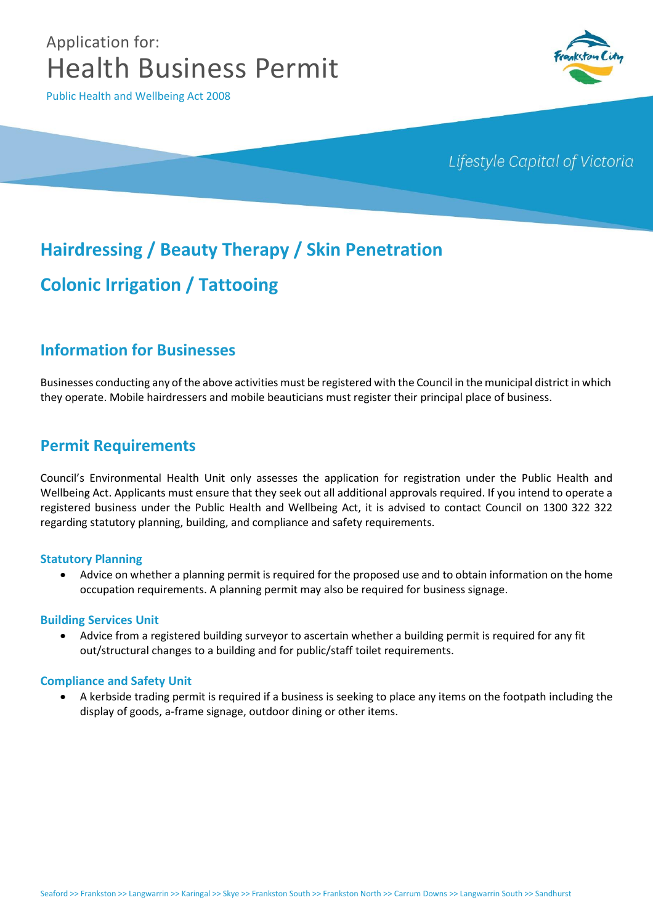# Application for: Health Business Permit

Public Health and Wellbeing Act 2008



# Lifestyle Capital of Victoria

# **Hairdressing / Beauty Therapy / Skin Penetration**

# **Colonic Irrigation / Tattooing**

# **Information for Businesses**

Businesses conducting any of the above activities must be registered with the Council in the municipal district in which they operate. Mobile hairdressers and mobile beauticians must register their principal place of business.

# **Permit Requirements**

Council's Environmental Health Unit only assesses the application for registration under the Public Health and Wellbeing Act. Applicants must ensure that they seek out all additional approvals required. If you intend to operate a registered business under the Public Health and Wellbeing Act, it is advised to contact Council on 1300 322 322 regarding statutory planning, building, and compliance and safety requirements.

#### **Statutory Planning**

 Advice on whether a planning permit is required for the proposed use and to obtain information on the home occupation requirements. A planning permit may also be required for business signage.

#### **Building Services Unit**

 Advice from a registered building surveyor to ascertain whether a building permit is required for any fit out/structural changes to a building and for public/staff toilet requirements.

#### **Compliance and Safety Unit**

 A kerbside trading permit is required if a business is seeking to place any items on the footpath including the display of goods, a-frame signage, outdoor dining or other items.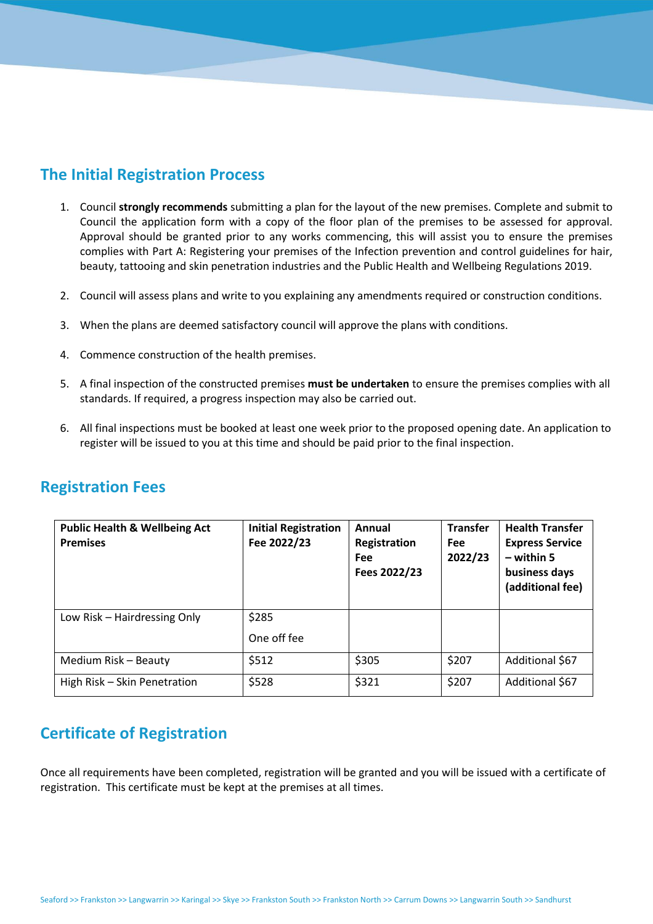# **The Initial Registration Process**

- 1. Council **strongly recommends** submitting a plan for the layout of the new premises. Complete and submit to Council the application form with a copy of the floor plan of the premises to be assessed for approval. Approval should be granted prior to any works commencing, this will assist you to ensure the premises complies with Part A: Registering your premises of the Infection prevention and control guidelines for hair, beauty, tattooing and skin penetration industries and the Public Health and Wellbeing Regulations 2019.
- 2. Council will assess plans and write to you explaining any amendments required or construction conditions.
- 3. When the plans are deemed satisfactory council will approve the plans with conditions.
- 4. Commence construction of the health premises.
- 5. A final inspection of the constructed premises **must be undertaken** to ensure the premises complies with all standards. If required, a progress inspection may also be carried out.
- 6. All final inspections must be booked at least one week prior to the proposed opening date. An application to register will be issued to you at this time and should be paid prior to the final inspection.

| <b>Registration Fees</b> |  |
|--------------------------|--|
|--------------------------|--|

| <b>Public Health &amp; Wellbeing Act</b><br><b>Premises</b> | <b>Initial Registration</b><br>Fee 2022/23 | Annual<br>Registration<br><b>Fee</b><br>Fees 2022/23 | <b>Transfer</b><br><b>Fee</b><br>2022/23 | <b>Health Transfer</b><br><b>Express Service</b><br>$-$ within 5<br>business days<br>(additional fee) |
|-------------------------------------------------------------|--------------------------------------------|------------------------------------------------------|------------------------------------------|-------------------------------------------------------------------------------------------------------|
| Low Risk – Hairdressing Only                                | \$285                                      |                                                      |                                          |                                                                                                       |
|                                                             | One off fee                                |                                                      |                                          |                                                                                                       |
| Medium Risk - Beauty                                        | \$512                                      | \$305                                                | \$207                                    | Additional \$67                                                                                       |
| High Risk - Skin Penetration                                | \$528                                      | \$321                                                | \$207                                    | Additional \$67                                                                                       |

# **Certificate of Registration**

Once all requirements have been completed, registration will be granted and you will be issued with a certificate of registration. This certificate must be kept at the premises at all times.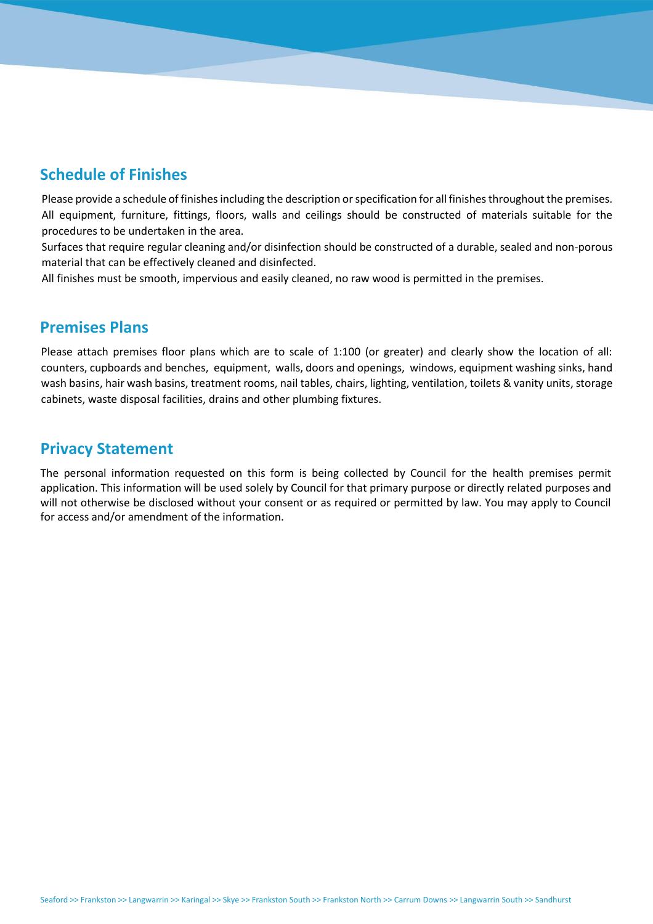# **Schedule of Finishes**

Please provide a schedule of finishes including the description or specification for all finishes throughout the premises. All equipment, furniture, fittings, floors, walls and ceilings should be constructed of materials suitable for the procedures to be undertaken in the area.

Surfaces that require regular cleaning and/or disinfection should be constructed of a durable, sealed and non-porous material that can be effectively cleaned and disinfected.

All finishes must be smooth, impervious and easily cleaned, no raw wood is permitted in the premises.

## **Premises Plans**

Please attach premises floor plans which are to scale of 1:100 (or greater) and clearly show the location of all: counters, cupboards and benches, equipment, walls, doors and openings, windows, equipment washing sinks, hand wash basins, hair wash basins, treatment rooms, nail tables, chairs, lighting, ventilation, toilets & vanity units, storage cabinets, waste disposal facilities, drains and other plumbing fixtures.

### **Privacy Statement**

The personal information requested on this form is being collected by Council for the health premises permit application. This information will be used solely by Council for that primary purpose or directly related purposes and will not otherwise be disclosed without your consent or as required or permitted by law. You may apply to Council for access and/or amendment of the information.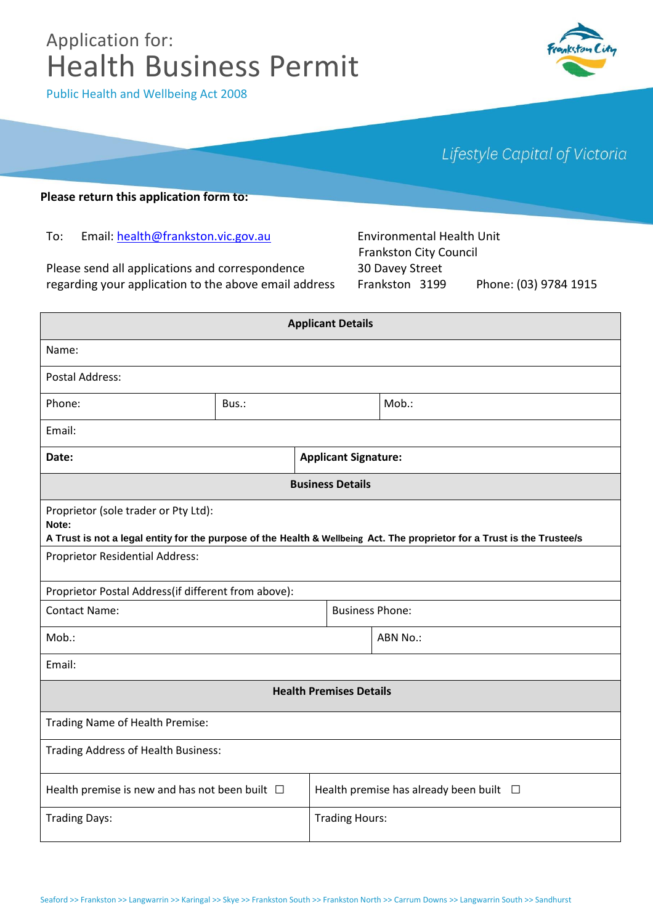# Application for: Health Business Permit



Public Health and Wellbeing Act 2008

Lifestyle Capital of Victoria

#### **Please return this application form to:**

To: Email: health@frankston.vic.gov.au

Please send all applications and correspondence regarding your application to the above email address

Environmental Health Unit Frankston City Council 30 Davey Street Frankston 3199 Phone: (03) 9784 1915

| <b>Applicant Details</b>                                                                                                                                                  |                             |  |                                                 |       |  |  |
|---------------------------------------------------------------------------------------------------------------------------------------------------------------------------|-----------------------------|--|-------------------------------------------------|-------|--|--|
| Name:                                                                                                                                                                     |                             |  |                                                 |       |  |  |
| <b>Postal Address:</b>                                                                                                                                                    |                             |  |                                                 |       |  |  |
| Phone:                                                                                                                                                                    | Bus.:                       |  |                                                 | Mob.: |  |  |
| Email:                                                                                                                                                                    |                             |  |                                                 |       |  |  |
| Date:                                                                                                                                                                     | <b>Applicant Signature:</b> |  |                                                 |       |  |  |
| <b>Business Details</b>                                                                                                                                                   |                             |  |                                                 |       |  |  |
| Proprietor (sole trader or Pty Ltd):<br>Note:<br>A Trust is not a legal entity for the purpose of the Health & Wellbeing Act. The proprietor for a Trust is the Trustee/s |                             |  |                                                 |       |  |  |
| Proprietor Residential Address:                                                                                                                                           |                             |  |                                                 |       |  |  |
| Proprietor Postal Address(if different from above):                                                                                                                       |                             |  |                                                 |       |  |  |
| <b>Contact Name:</b>                                                                                                                                                      |                             |  | <b>Business Phone:</b>                          |       |  |  |
| Mob.:                                                                                                                                                                     |                             |  | ABN No.:                                        |       |  |  |
| Email:                                                                                                                                                                    |                             |  |                                                 |       |  |  |
| <b>Health Premises Details</b>                                                                                                                                            |                             |  |                                                 |       |  |  |
| Trading Name of Health Premise:                                                                                                                                           |                             |  |                                                 |       |  |  |
| Trading Address of Health Business:                                                                                                                                       |                             |  |                                                 |       |  |  |
| Health premise is new and has not been built $\Box$                                                                                                                       |                             |  | Health premise has already been built $\square$ |       |  |  |
| <b>Trading Days:</b>                                                                                                                                                      |                             |  | <b>Trading Hours:</b>                           |       |  |  |